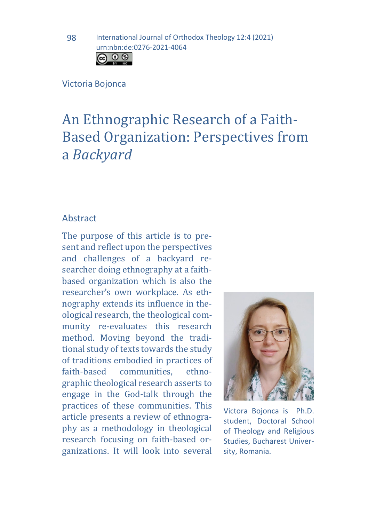

#### Victoria Bojonca

# An Ethnographic Research of a Faith-Based Organization: Perspectives from a *Backyard*

#### Abstract

The purpose of this article is to present and reflect upon the perspectives and challenges of a backyard researcher doing ethnography at a faithbased organization which is also the researcher's own workplace. As ethnography extends its influence in theological research, the theological community re-evaluates this research method. Moving beyond the traditional study of texts towards the study of traditions embodied in practices of<br>faith-based communities. ethnocommunities. graphic theological research asserts to engage in the God-talk through the practices of these communities. This article presents a review of ethnography as a methodology in theological research focusing on faith-based organizations. It will look into several



Victora Bojonca is Ph.D. student, Doctoral School of Theology and Religious Studies, Bucharest University, Romania.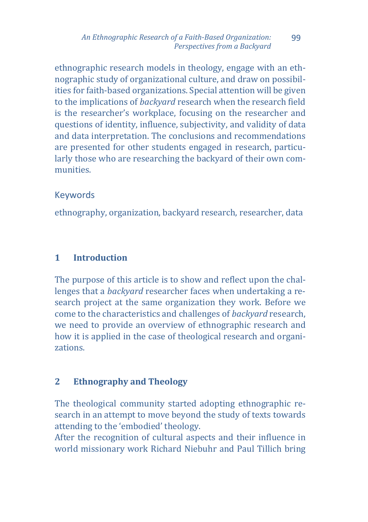ethnographic research models in theology, engage with an ethnographic study of organizational culture, and draw on possibilities for faith-based organizations. Special attention will be given to the implications of *backyard* research when the research field is the researcher's workplace, focusing on the researcher and questions of identity, influence, subjectivity, and validity of data and data interpretation. The conclusions and recommendations are presented for other students engaged in research, particularly those who are researching the backyard of their own communities.

# Keywords

ethnography, organization, backyard research, researcher, data

# **1 Introduction**

The purpose of this article is to show and reflect upon the challenges that a *backyard* researcher faces when undertaking a research project at the same organization they work. Before we come to the characteristics and challenges of *backyard* research, we need to provide an overview of ethnographic research and how it is applied in the case of theological research and organizations.

# **2 Ethnography and Theology**

The theological community started adopting ethnographic research in an attempt to move beyond the study of texts towards attending to the 'embodied' theology.

After the recognition of cultural aspects and their influence in world missionary work Richard Niebuhr and Paul Tillich bring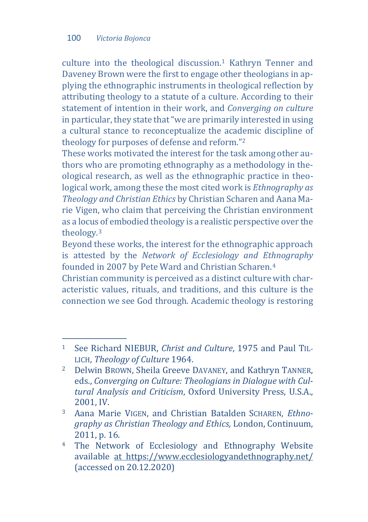culture into the theological discussion.[1](#page-2-0) Kathryn Tenner and Daveney Brown were the first to engage other theologians in applying the ethnographic instruments in theological reflection by attributing theology to a statute of a culture. According to their statement of intention in their work, and *Converging on culture* in particular, they state that "we are primarily interested in using a cultural stance to reconceptualize the academic discipline of theology for purposes of defense and reform."[2](#page-2-1)

These works motivated the interest for the task among other authors who are promoting ethnography as a methodology in theological research, as well as the ethnographic practice in theological work, among these the most cited work is *Ethnography as Theology and Christian Ethics* by Christian Scharen and Aana Marie Vigen, who claim that perceiving the Christian environment as a locus of embodied theology is a realistic perspective over the theology.[3](#page-2-2)

Beyond these works, the interest for the ethnographic approach is attested by the *Network of Ecclesiology and Et[h](#page-2-3)nography* founded in 2007 by Pete Ward and Christian Scharen.4

Christian community is perceived as a distinct culture with characteristic values, rituals, and traditions, and this culture is the connection we see God through. Academic theology is restoring

<span id="page-2-0"></span> $1$ <sup>1</sup> See Richard NIEBUR, *Christ and Culture*, 1975 and Paul TIL-LICH, *Theology of Culture* 1964.

<span id="page-2-1"></span><sup>2</sup> Delwin BROWN, Sheila Greeve DAVANEY, and Kathryn TANNER, eds., *Converging on Culture: Theologians in Dialogue with Cultural Analysis and Criticism*, Oxford University Press, U.S.A., 2001, IV.

<span id="page-2-2"></span><sup>3</sup> Aana Marie VIGEN, and Christian Batalden SCHAREN, *Ethnography as Christian Theology and Ethics,* London, Continuum, 2011, p. 16.

<span id="page-2-3"></span><sup>4</sup> The Network of Ecclesiology and Ethnography Website available at https://www.ecclesiologyandethnography.net/ (accessed on 20.12.2020)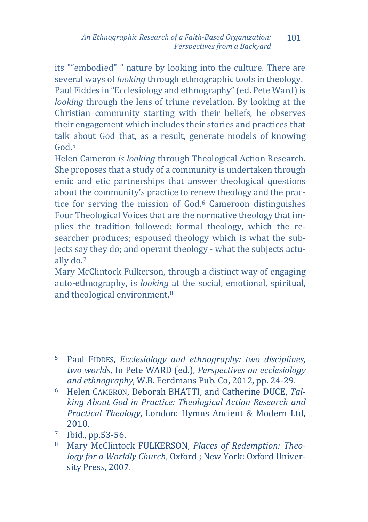its ""embodied" " nature by looking into the culture. There are several ways of *looking* through ethnographic tools in theology. Paul Fiddes in "Ecclesiology and ethnography" (ed. Pete Ward) is *looking* through the lens of triune revelation. By looking at the Christian community starting with their beliefs, he observes their engagement which includes their stories and practices that talk [a](#page-3-0)bout God that, as a result, generate models of knowing God.<sup>5</sup>

Helen Cameron *is looking* through Theological Action Research. She proposes that a study of a community is undertaken through emic and etic partnerships that answer theological questions about the community's practice to renew theology and the practice for serving the mission of God[.6](#page-3-1) Cameroon distinguishes Four Theological Voices that are the normative theology that implies the tradition followed: formal theology, which the researcher produces; espoused theology which is what the subjects s[ay](#page-3-2) they do; and operant theology - what the subjects actually do.7

Mary McClintock Fulkerson, through a distinct way of engaging auto-ethnography, is *looking* at the social, emotional, spiritual, and theological environment.[8](#page-3-3)

<span id="page-3-0"></span>j <sup>5</sup> Paul FIDDES, *Ecclesiology and ethnography: two disciplines, two worlds*, In Pete WARD (ed.), *Perspectives on ecclesiology and ethnography*, W.B. Eerdmans Pub. Co, 2012, pp. 24-29.

<span id="page-3-1"></span><sup>6</sup> Helen CAMERON, Deborah BHATTI, and Catherine DUCE, *Talking About God in Practice: Theological Action Research and Practical Theology*, London: Hymns Ancient & Modern Ltd, 2010.

<span id="page-3-2"></span> $\frac{7}{8}$  Ibid., pp.53-56.<br> $\frac{8}{8}$  Mary McClintog

<span id="page-3-3"></span><sup>8</sup> Mary McClintock FULKERSON, *Places of Redemption: Theology for a Worldly Church*, Oxford ; New York: Oxford University Press, 2007.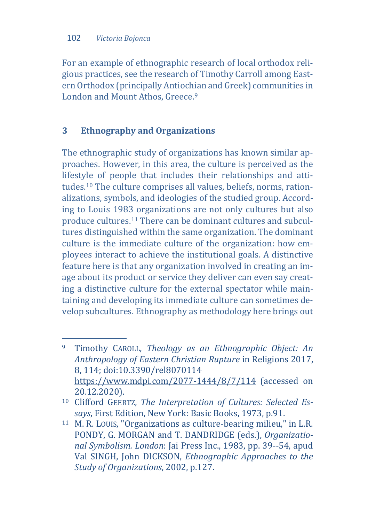For an example of ethnographic research of local orthodox religious practices, see the research of Timothy Carroll among Eastern Orthodox (principally Antiochian and Greek) communities in London and Mount Athos, Greece.<sup>[9](#page-4-0)</sup>

# **3 Ethnography and Organizations**

The ethnographic study of organizations has known similar approaches. However, in this area, the culture is perceived as the lifestyle of people that includes their relationships and attitudes[.10](#page-4-1) The culture comprises all values, beliefs, norms, rationalizations, symbols, and ideologies of the studied group. According to Louis 1983 organizations are not only cultures but also produce cultures.[11](#page-4-2) There can be dominant cultures and subcultures distinguished within the same organization. The dominant culture is the immediate culture of the organization: how employees interact to achieve the institutional goals. A distinctive feature here is that any organization involved in creating an image about its product or service they deliver can even say creating a distinctive culture for the external spectator while maintaining and developing its immediate culture can sometimes develop subcultures. Ethnography as methodology here brings out

<span id="page-4-0"></span><sup>9</sup> <sup>9</sup> Timothy CAROLL, *Theology as an Ethnographic Object: An Anthropology of Eastern Christian Rupture* in Religions 2017, 8, 114; doi:10.3390/rel8070114 <https://www.mdpi.com/2077-1444/8/7/114> (accessed on 20.12.2020).

<span id="page-4-1"></span><sup>10</sup> Clifford GEERTZ, *The Interpretation of Cultures: Selected Essays*, First Edition, New York: Basic Books, 1973, p.91.

<span id="page-4-2"></span><sup>11</sup> M. R. LOUIS, "Organizations as culture-bearing milieu," in L.R. PONDY, G. MORGAN and T. DANDRIDGE (eds.), *Organizational Symbolism. London*: Jai Press Inc., 1983, pp. 39--54, apud Val SINGH, John DICKSON, *Ethnographic Approaches to the Study of Organizations*, 2002, p.127.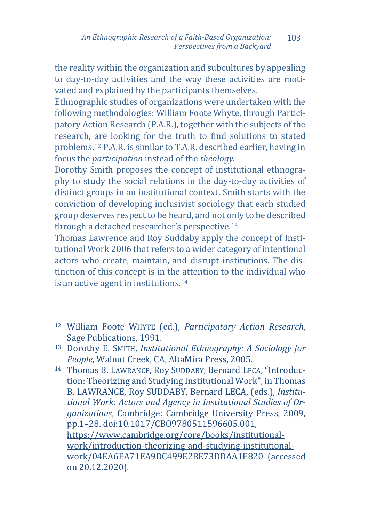the reality within the organization and subcultures by appealing to day-to-day activities and the way these activities are motivated and explained by the participants themselves.

Ethnographic studies of organizations were undertaken with the following methodologies: William Foote Whyte, through Participatory Action Research (P.A.R.), together with the subjects of the research, are looking for the truth to find solutions to stated problems.[12](#page-5-0) P.A.R. is similar to T.A.R. described earlier, having in focus the *participation* instead of the *theology.* 

Dorothy Smith proposes the concept of institutional ethnography to study the social relations in the day-to-day activities of distinct groups in an institutional context. Smith starts with the conviction of developing inclusivist sociology that each studied group deserves respect to be heard, and not only to be described through a detached researcher's perspective.[13](#page-5-1)

Thomas Lawrence and Roy Suddaby apply the concept of Institutional Work 2006 that refers to a wider category of intentional actors who create, maintain, and disrupt institutions. The distinction of this concept is in the [at](#page-5-2)tention to the individual who is an active agent in institutions.14

<span id="page-5-2"></span><sup>14</sup> Thomas B. LAWRANCE, Roy SUDDABY, Bernard LECA, "Introduction: Theorizing and Studying Institutional Work", in Thomas B. LAWRANCE, Roy SUDDABY, Bernard LECA, (eds.), *Institutional Work: Actors and Agency in Institutional Studies of Organizations*, Cambridge: Cambridge University Press, 2009, pp.1–28. doi:10.1017/CBO9780511596605.001, [https://www.cambridge.org/core/books/institutional](https://www.cambridge.org/core/books/institutional-work/introduction-theorizing-and-studying-institutional-work/04EA6EA71EA9DC499E2BE73DDAA1E820)[work/introduction-theorizing-and-studying-institutional](https://www.cambridge.org/core/books/institutional-work/introduction-theorizing-and-studying-institutional-work/04EA6EA71EA9DC499E2BE73DDAA1E820)[work/04EA6EA71EA9DC499E2BE73DDAA1E820](https://www.cambridge.org/core/books/institutional-work/introduction-theorizing-and-studying-institutional-work/04EA6EA71EA9DC499E2BE73DDAA1E820) (accessed on 20.12.2020).

<span id="page-5-0"></span>j <sup>12</sup> William Foote WHYTE (ed.), *Participatory Action Research*, Sage Publications, 1991.

<span id="page-5-1"></span><sup>13</sup> Dorothy E. SMITH, *Institutional Ethnography: A Sociology for People*, Walnut Creek, CA, AltaMira Press, 2005.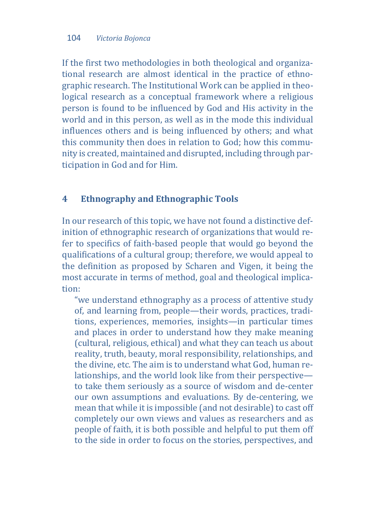If the first two methodologies in both theological and organizational research are almost identical in the practice of ethnographic research. The Institutional Work can be applied in theological research as a conceptual framework where a religious person is found to be influenced by God and His activity in the world and in this person, as well as in the mode this individual influences others and is being influenced by others; and what this community then does in relation to God; how this community is created, maintained and disrupted, including through participation in God and for Him.

#### **4 Ethnography and Ethnographic Tools**

In our research of this topic, we have not found a distinctive definition of ethnographic research of organizations that would refer to specifics of faith-based people that would go beyond the qualifications of a cultural group; therefore, we would appeal to the definition as proposed by Scharen and Vigen, it being the most accurate in terms of method, goal and theological implication:

"we understand ethnography as a process of attentive study of, and learning from, people—their words, practices, traditions, experiences, memories, insights—in particular times and places in order to understand how they make meaning (cultural, religious, ethical) and what they can teach us about reality, truth, beauty, moral responsibility, relationships, and the divine, etc. The aim is to understand what God, human relationships, and the world look like from their perspective to take them seriously as a source of wisdom and de-center our own assumptions and evaluations. By de-centering, we mean that while it is impossible (and not desirable) to cast off completely our own views and values as researchers and as people of faith, it is both possible and helpful to put them off to the side in order to focus on the stories, perspectives, and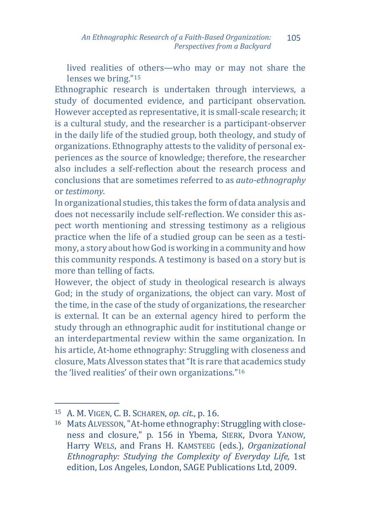lived realities of others—who may or may not share the lenses we bring."[15](#page-7-0)

Ethnographic research is undertaken through interviews, a study of documented evidence, and participant observation. However accepted as representative, it is small-scale research; it is a cultural study, and the researcher is a participant-observer in the daily life of the studied group, both theology, and study of organizations. Ethnography attests to the validity of personal experiences as the source of knowledge; therefore, the researcher also includes a self-reflection about the research process and conclusions that are sometimes referred to as *auto-ethnography*  or *testimony*.

In organizational studies, this takes the form of data analysis and does not necessarily include self-reflection. We consider this aspect worth mentioning and stressing testimony as a religious practice when the life of a studied group can be seen as a testimony, a story about how God is working in a community and how this community responds. A testimony is based on a story but is more than telling of facts.

However, the object of study in theological research is always God; in the study of organizations, the object can vary. Most of the time, in the case of the study of organizations, the researcher is external. It can be an external agency hired to perform the study through an ethnographic audit for institutional change or an interdepartmental review within the same organization. In his article, At-home ethnography: Struggling with closeness and closure, Mats Alvesson states that "It is rare that academics study the 'lived realities' of their own organizations."[16](#page-7-1)

<span id="page-7-0"></span>j <sup>15</sup> A. M. VIGEN, C. B. SCHAREN, *op. cit.*, p. 16.

<span id="page-7-1"></span><sup>16</sup> Mats ALVESSON, "At-home ethnography: Struggling with closeness and closure," p. 156 in Ybema, SIERK, Dvora YANOW, Harry WELS, and Frans H. KAMSTEEG (eds.), *Organizational Ethnography: Studying the Complexity of Everyday Life,* 1st edition, Los Angeles, London, SAGE Publications Ltd, 2009.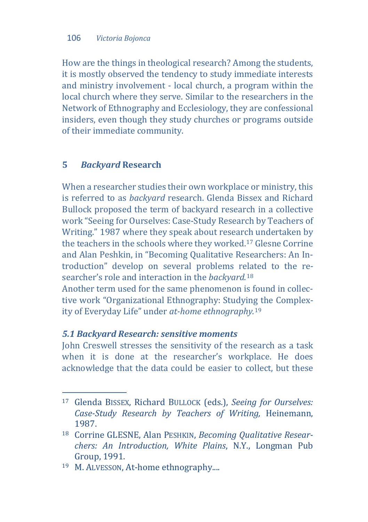How are the things in theological research? Among the students, it is mostly observed the tendency to study immediate interests and ministry involvement - local church, a program within the local church where they serve. Similar to the researchers in the Network of Ethnography and Ecclesiology, they are confessional insiders, even though they study churches or programs outside of their immediate community.

#### **5** *Backyard* **Research**

When a researcher studies their own workplace or ministry, this is referred to as *backyard* research. Glenda Bissex and Richard Bullock proposed the term of backyard research in a collective work "Seeing for Ourselves: Case-Study Research by Teachers of Writing." 1987 where they speak about research undertaken by the teachers in the schools where they worked.[17](#page-8-0) Glesne Corrine and Alan Peshkin, in "Becoming Qualitative Researchers: An Introduction" develop on several problems re[la](#page-8-1)ted to the researcher's role and interaction in the *backyard.*<sup>18</sup>

Another term used for the same phenomenon is found in collective work "Organizational Ethnography: Studyin[g t](#page-8-2)he Complexity of Everyday Life" under *at-home ethnography.*<sup>19</sup>

#### *5.1 Backyard Research: sensitive moments*

John Creswell stresses the sensitivity of the research as a task when it is done at the researcher's workplace. He does acknowledge that the data could be easier to collect, but these

<span id="page-8-0"></span>j <sup>17</sup> Glenda BISSEX, Richard BULLOCK (eds.), *Seeing for Ourselves: Case-Study Research by Teachers of Writing,* Heinemann, 1987.

<span id="page-8-1"></span><sup>18</sup> Corrine GLESNE, Alan PESHKIN, *Becoming Qualitative Researchers: An Introduction, White Plains*, N.Y., Longman Pub Group, 1991.

<span id="page-8-2"></span><sup>19</sup> M. ALVESSON, At-home ethnography....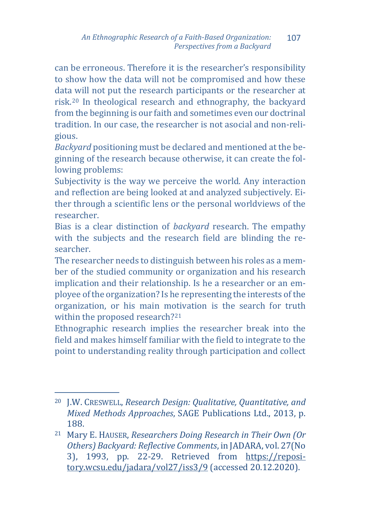can be erroneous. Therefore it is the researcher's responsibility to show how the data will not be compromised and how these data will not put the research participants or the researcher at risk.[20](#page-9-0) In theological research and ethnography, the backyard from the beginning is our faith and sometimes even our doctrinal tradition. In our case, the researcher is not asocial and non-religious.

*Backyard* positioning must be declared and mentioned at the beginning of the research because otherwise, it can create the following problems:

Subjectivity is the way we perceive the world. Any interaction and reflection are being looked at and analyzed subjectively. Either through a scientific lens or the personal worldviews of the researcher.

Bias is a clear distinction of *backyard* research. The empathy with the subjects and the research field are blinding the researcher.

The researcher needs to distinguish between his roles as a member of the studied community or organization and his research implication and their relationship. Is he a researcher or an employee of the organization? Is he representing the interests of the organization, or his main motivation is the search for truth within the proposed research?<sup>[21](#page-9-1)</sup>

Ethnographic research implies the researcher break into the field and makes himself familiar with the field to integrate to the point to understanding reality through participation and collect

<span id="page-9-0"></span>j <sup>20</sup> J.W. CRESWELL, *Research Design: Qualitative, Quantitative, and Mixed Methods Approaches*, SAGE Publications Ltd., 2013, p. 188.

<span id="page-9-1"></span><sup>21</sup> Mary E. HAUSER, *Researchers Doing Research in Their Own (Or Others) Backyard: Reflective Comments*, in JADARA, vol. 27(No 3), 1993, pp. 22-29. Retrieved from [https://reposi](https://repository.wcsu.edu/jadara/vol27/iss3/9)[tory.wcsu.edu/jadara/vol27/iss3/9](https://repository.wcsu.edu/jadara/vol27/iss3/9) (accessed 20.12.2020).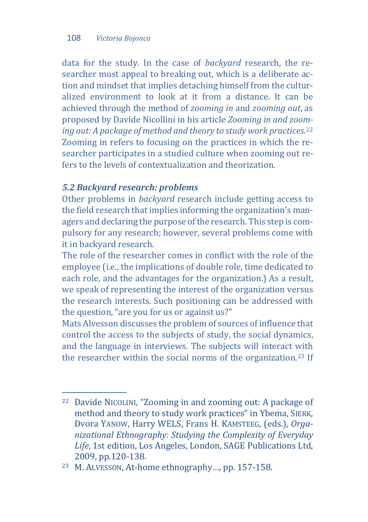data for the study. In the case of *backyard* research, the researcher must appeal to breaking out, which is a deliberate action and mindset that implies detaching himself from the culturalized environment to look at it from a distance. It can be achieved through the method of *zooming in* and *zooming out*, as proposed by Davide Nicollini in his article *Zooming in and zoo[m](#page-10-0)ing out: A package of method and theory to study work practices.*<sup>22</sup> Zooming in refers to focusing on the practices in which the researcher participates in a studied culture when zooming out refers to the levels of contextualization and theorization.

### *5.2 Backyard research: problems*

Other problems in *backyard* research include getting access to the field research that implies informing the organization's managers and declaring the purpose of the research. This step is compulsory for any research; however, several problems come with it in backyard research.

The role of the researcher comes in conflict with the role of the employee (i.e., the implications of double role, time dedicated to each role, and the advantages for the organization.) As a result, we speak of representing the interest of the organization versus the research interests. Such positioning can be addressed with the question, "are you for us or against us?"

Mats Alvesson discusses the problem of sources of influence that control the access to the subjects of study, the social dynamics, and the language in interviews. The subjects will interact [wit](#page-10-1)h the researcher within the social norms of the organization.23 If

<span id="page-10-0"></span>j <sup>22</sup> Davide NICOLINI, "Zooming in and zooming out: A package of method and theory to study work practices" in Ybema, SIERK, Dvora YANOW, Harry WELS, Frans H. KAMSTEEG, (eds.), *Organizational Ethnography: Studying the Complexity of Everyday Life*, 1st edition, Los Angeles, London, SAGE Publications Ltd, 2009, pp.120-138.

<span id="page-10-1"></span><sup>23</sup> M. ALVESSON, At-home ethnography…, pp. 157-158.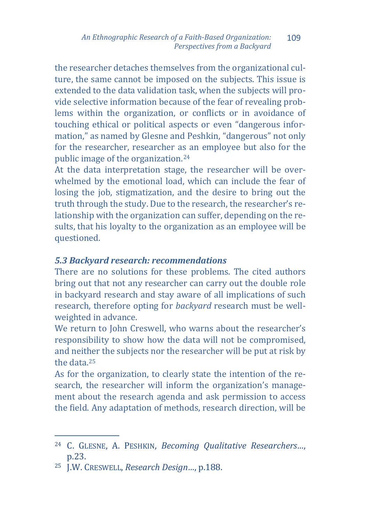the researcher detaches themselves from the organizational culture, the same cannot be imposed on the subjects. This issue is extended to the data validation task, when the subjects will provide selective information because of the fear of revealing problems within the organization, or conflicts or in avoidance of touching ethical or political aspects or even "dangerous information," as named by Glesne and Peshkin, "dangerous" not only for the researcher, researcher as an employee but also for the public image of the organization.[24](#page-11-0)

At the data interpretation stage, the researcher will be overwhelmed by the emotional load, which can include the fear of losing the job, stigmatization, and the desire to bring out the truth through the study. Due to the research, the researcher's relationship with the organization can suffer, depending on the results, that his loyalty to the organization as an employee will be questioned.

#### *5.3 Backyard research: recommendations*

There are no solutions for these problems. The cited authors bring out that not any researcher can carry out the double role in backyard research and stay aware of all implications of such research, therefore opting for *backyard* research must be wellweighted in advance.

We return to John Creswell, who warns about the researcher's responsibility to show how the data will not be compromised, and neither the subjects nor the researcher will be put at risk by the data.[25](#page-11-1)

As for the organization, to clearly state the intention of the research, the researcher will inform the organization's management about the research agenda and ask permission to access the field. Any adaptation of methods, research direction, will be

<span id="page-11-0"></span>j <sup>24</sup> C. GLESNE, A. PESHKIN, *Becoming Qualitative Researchers…*, p.23.

<span id="page-11-1"></span><sup>25</sup> J.W. CRESWELL, *Research Design…*, p.188.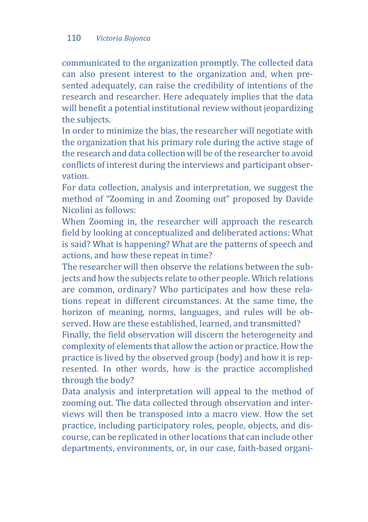communicated to the organization promptly. The collected data can also present interest to the organization and, when presented adequately, can raise the credibility of intentions of the research and researcher. Here adequately implies that the data will benefit a potential institutional review without jeopardizing the subjects.

In order to minimize the bias, the researcher will negotiate with the organization that his primary role during the active stage of the research and data collection will be of the researcher to avoid conflicts of interest during the interviews and participant observation.

For data collection, analysis and interpretation, we suggest the method of "Zooming in and Zooming out" proposed by Davide Nicolini as follows:

When Zooming in, the researcher will approach the research field by looking at conceptualized and deliberated actions: What is said? What is happening? What are the patterns of speech and actions, and how these repeat in time?

The researcher will then observe the relations between the subjects and how the subjects relate to other people. Which relations are common, ordinary? Who participates and how these relations repeat in different circumstances. At the same time, the horizon of meaning, norms, languages, and rules will be observed. How are these established, learned, and transmitted?

Finally, the field observation will discern the heterogeneity and complexity of elements that allow the action or practice. How the practice is lived by the observed group (body) and how it is represented. In other words, how is the practice accomplished through the body?

Data analysis and interpretation will appeal to the method of zooming out. The data collected through observation and interviews will then be transposed into a macro view. How the set practice, including participatory roles, people, objects, and discourse, can be replicated in other locations that can include other departments, environments, or, in our case, faith-based organi-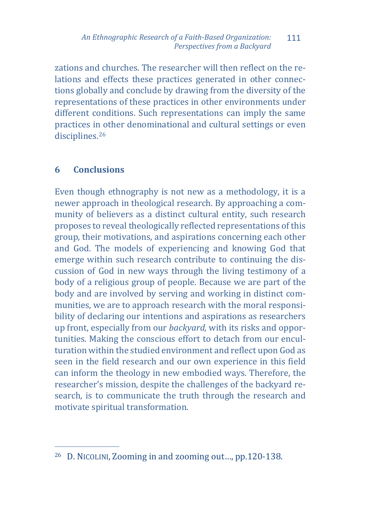zations and churches. The researcher will then reflect on the relations and effects these practices generated in other connections globally and conclude by drawing from the diversity of the representations of these practices in other environments under different conditions. Such representations can imply the same practices i[n o](#page-13-0)ther denominational and cultural settings or even disciplines.<sup>26</sup>

# **6 Conclusions**

Even though ethnography is not new as a methodology, it is a newer approach in theological research. By approaching a community of believers as a distinct cultural entity, such research proposes to reveal theologically reflected representations of this group, their motivations, and aspirations concerning each other and God. The models of experiencing and knowing God that emerge within such research contribute to continuing the discussion of God in new ways through the living testimony of a body of a religious group of people. Because we are part of the body and are involved by serving and working in distinct communities, we are to approach research with the moral responsibility of declaring our intentions and aspirations as researchers up front, especially from our *backyard,* with its risks and opportunities. Making the conscious effort to detach from our enculturation within the studied environment and reflect upon God as seen in the field research and our own experience in this field can inform the theology in new embodied ways. Therefore, the researcher's mission, despite the challenges of the backyard research, is to communicate the truth through the research and motivate spiritual transformation.

<span id="page-13-0"></span>j <sup>26</sup> D. NICOLINI, Zooming in and zooming out…, pp.120-138.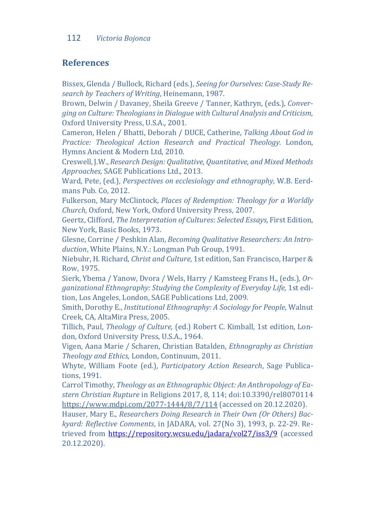#### **References**

Bissex, Glenda / Bullock, Richard (eds.), *Seeing for Ourselves: Case-Study Research by Teachers of Writing*, Heinemann, 1987.

Brown, Delwin / Davaney, Sheila Greeve / Tanner, Kathryn, (eds.), *Converging on Culture: Theologians in Dialogue with Cultural Analysis and Criticism,* Oxford University Press, U.S.A., 2001.

Cameron, Helen / Bhatti, Deborah / DUCE, Catherine, *Talking About God in Practice: Theological Action Research and Practical Theology*. London, Hymns Ancient & Modern Ltd, 2010.

Creswell, J.W., *Research Design: Qualitative, Quantitative, and Mixed Methods Approaches,* SAGE Publications Ltd., 2013.

Ward, Pete, (ed.), *Perspectives on ecclesiology and ethnography*, W.B. Eerdmans Pub. Co, 2012.

Fulkerson, Mary McClintock, *Places of Redemption: Theology for a Worldly Church,* Oxford, New York, Oxford University Press, 2007.

Geertz, Clifford, *The Interpretation of Cultures: Selected Essays,* First Edition, New York, Basic Books, 1973.

Glesne, Corrine / Peshkin Alan, *Becoming Qualitative Researchers: An Introduction*, White Plains, N.Y.: Longman Pub Group, 1991.

Niebuhr, H. Richard, *Christ and Culture*, 1st edition, San Francisco, Harper & Row, 1975.

Sierk, Ybema / Yanow, Dvora / Wels, Harry / Kamsteeg Frans H., (eds.), *Organizational Ethnography: Studying the Complexity of Everyday Life,* 1st edition, Los Angeles, London, SAGE Publications Ltd, 2009.

Smith, Dorothy E., *Institutional Ethnography: A Sociology for People*, Walnut Creek, CA, AltaMira Press, 2005.

Tillich, Paul, *Theology of Culture,* (ed.) Robert C. Kimball, 1st edition, London, Oxford University Press, U.S.A., 1964.

Vigen, Aana Marie / Scharen, Christian Batalden, *Ethnography as Christian Theology and Ethics,* London, Continuum, 2011.

Whyte, William Foote (ed.), *Participatory Action Research*, Sage Publications, 1991.

Carrol Timothy, *Theology as an Ethnographic Object: An Anthropology of Eastern Christian Rupture* in Religions 2017, 8, 114; doi:10.3390/rel8070114 https://www.mdpi.com/2077-1444/8/7/114 (accessed on 20.12.2020).

Hauser, Mary E., *Researchers Doing Research in Their Own (Or Others) Backyard: Reflective Comments*, in JADARA, vol. 27(No 3), 1993, p. 22-29. Retrieved from<https://repository.wcsu.edu/jadara/vol27/iss3/9> (accessed 20.12.2020).